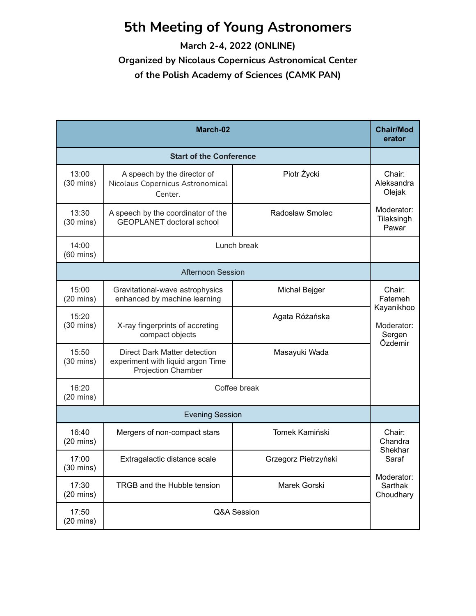## **5th Meeting of Young Astronomers**

**March 2-4, 2022 (ONLINE)**

**Organized by Nicolaus Copernicus Astronomical Center of the Polish Academy of Sciences (CAMK PAN)**

| March-02                     |                                                                                         |                      | <b>Chair/Mod</b><br>erator                              |  |
|------------------------------|-----------------------------------------------------------------------------------------|----------------------|---------------------------------------------------------|--|
|                              | <b>Start of the Conference</b>                                                          |                      |                                                         |  |
| 13:00<br>$(30 \text{ mins})$ | A speech by the director of<br>Nicolaus Copernicus Astronomical<br>Center.              | Piotr Życki          | Chair:<br>Aleksandra<br>Olejak                          |  |
| 13:30<br>$(30 \text{ mins})$ | A speech by the coordinator of the<br><b>GEOPLANET</b> doctoral school                  | Radosław Smolec      | Moderator:<br>Tilaksingh<br>Pawar                       |  |
| 14:00<br>$(60 \text{ mins})$ |                                                                                         | Lunch break          |                                                         |  |
|                              | <b>Afternoon Session</b>                                                                |                      |                                                         |  |
| 15:00<br>$(20 \text{ mins})$ | Gravitational-wave astrophysics<br>enhanced by machine learning                         | Michał Bejger        | Chair:<br>Fatemeh<br>Kayanikhoo<br>Moderator:<br>Sergen |  |
| 15:20<br>$(30 \text{ mins})$ | X-ray fingerprints of accreting<br>compact objects                                      | Agata Różańska       |                                                         |  |
| 15:50<br>$(30 \text{ mins})$ | Direct Dark Matter detection<br>experiment with liquid argon Time<br>Projection Chamber | Masayuki Wada        | Özdemir                                                 |  |
| 16:20<br>$(20 \text{ mins})$ | Coffee break                                                                            |                      |                                                         |  |
| <b>Evening Session</b>       |                                                                                         |                      |                                                         |  |
| 16:40<br>$(20 \text{ mins})$ | Mergers of non-compact stars                                                            | Tomek Kamiński       | Chair:<br>Chandra<br>Shekhar<br>Saraf                   |  |
| 17:00<br>$(30 \text{ mins})$ | Extragalactic distance scale                                                            | Grzegorz Pietrzyński |                                                         |  |
| 17:30<br>$(20 \text{ mins})$ | TRGB and the Hubble tension                                                             | Marek Gorski         | Moderator:<br>Sarthak<br>Choudhary                      |  |
| 17:50<br>$(20 \text{ mins})$ | Q&A Session                                                                             |                      |                                                         |  |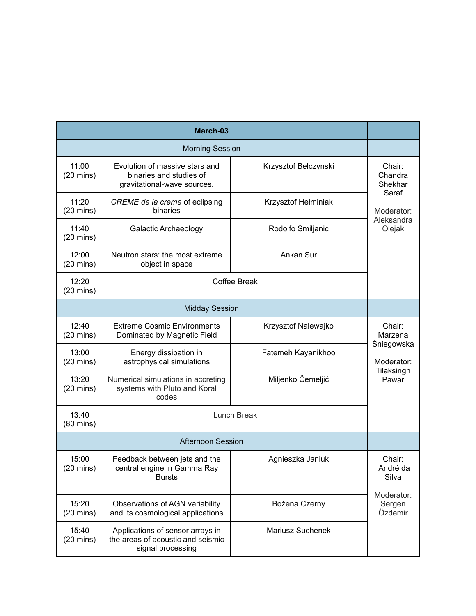| March-03                     |                                                                                            |                         |                                 |
|------------------------------|--------------------------------------------------------------------------------------------|-------------------------|---------------------------------|
| <b>Morning Session</b>       |                                                                                            |                         |                                 |
| 11:00<br>$(20 \text{ mins})$ | Evolution of massive stars and<br>binaries and studies of<br>gravitational-wave sources.   | Krzysztof Belczynski    | Chair:<br>Chandra<br>Shekhar    |
| 11:20<br>$(20 \text{ mins})$ | CREME de la creme of eclipsing<br>binaries                                                 | Krzysztof Hełminiak     | Saraf<br>Moderator:             |
| 11:40<br>$(20 \text{ mins})$ | <b>Galactic Archaeology</b>                                                                | Rodolfo Smiljanic       | Aleksandra<br>Olejak            |
| 12:00<br>$(20 \text{ mins})$ | Neutron stars: the most extreme<br>object in space                                         | Ankan Sur               |                                 |
| 12:20<br>$(20 \text{ mins})$ |                                                                                            | Coffee Break            |                                 |
| <b>Midday Session</b>        |                                                                                            |                         |                                 |
| 12:40<br>$(20 \text{ mins})$ | <b>Extreme Cosmic Environments</b><br>Dominated by Magnetic Field                          | Krzysztof Nalewajko     | Chair:<br>Marzena               |
| 13:00<br>$(20 \text{ mins})$ | Energy dissipation in<br>astrophysical simulations                                         | Fatemeh Kayanikhoo      | <b>Śniegowska</b><br>Moderator: |
| 13:20<br>$(20 \text{ mins})$ | Numerical simulations in accreting<br>systems with Pluto and Koral<br>codes                | Miljenko Čemeljić       | Tilaksingh<br>Pawar             |
| 13:40<br>$(80 \text{ mins})$ | Lunch Break                                                                                |                         |                                 |
| <b>Afternoon Session</b>     |                                                                                            |                         |                                 |
| 15:00<br>$(20 \text{ mins})$ | Feedback between jets and the<br>central engine in Gamma Ray<br><b>Bursts</b>              | Agnieszka Janiuk        | Chair:<br>André da<br>Silva     |
| 15:20<br>$(20 \text{ mins})$ | Observations of AGN variability<br>and its cosmological applications                       | Bożena Czerny           | Moderator:<br>Sergen<br>Özdemir |
| 15:40<br>$(20 \text{ mins})$ | Applications of sensor arrays in<br>the areas of acoustic and seismic<br>signal processing | <b>Mariusz Suchenek</b> |                                 |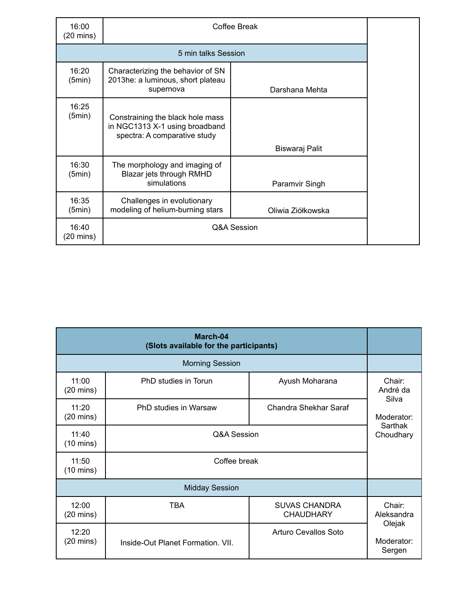| 16:00<br>(20 mins)  | Coffee Break                                                                                       |                   |  |
|---------------------|----------------------------------------------------------------------------------------------------|-------------------|--|
| 5 min talks Session |                                                                                                    |                   |  |
| 16:20<br>(5min)     | Characterizing the behavior of SN<br>2013he: a luminous, short plateau<br>supernova                | Darshana Mehta    |  |
| 16:25<br>(5min)     | Constraining the black hole mass<br>in NGC1313 X-1 using broadband<br>spectra: A comparative study |                   |  |
|                     |                                                                                                    | Biswaraj Palit    |  |
| 16:30<br>(5min)     | The morphology and imaging of<br>Blazar jets through RMHD<br>simulations                           | Paramvir Singh    |  |
| 16:35<br>(5min)     | Challenges in evolutionary<br>modeling of helium-burning stars                                     | Oliwia Ziółkowska |  |
| 16:40<br>(20 mins)  | Q&A Session                                                                                        |                   |  |

| March-04<br>(Slots available for the participants) |                                   |                                          |                                |
|----------------------------------------------------|-----------------------------------|------------------------------------------|--------------------------------|
| <b>Morning Session</b>                             |                                   |                                          |                                |
| 11:00<br>$(20 \text{ mins})$                       | PhD studies in Torun              | Ayush Moharana                           | Chair:<br>André da             |
| 11:20<br>$(20 \text{ mins})$                       | PhD studies in Warsaw             | Chandra Shekhar Saraf                    | Silva<br>Moderator:            |
| 11:40<br>$(10 \text{ mins})$                       | Q&A Session                       |                                          | Sarthak<br>Choudhary           |
| 11:50<br>$(10 \text{ mins})$                       | Coffee break                      |                                          |                                |
|                                                    | <b>Midday Session</b>             |                                          |                                |
| 12:00<br>$(20 \text{ mins})$                       | TBA                               | <b>SUVAS CHANDRA</b><br><b>CHAUDHARY</b> | Chair:<br>Aleksandra           |
| 12:20<br>$(20 \text{ mins})$                       | Inside-Out Planet Formation, VII. | Arturo Cevallos Soto                     | Olejak<br>Moderator:<br>Sergen |